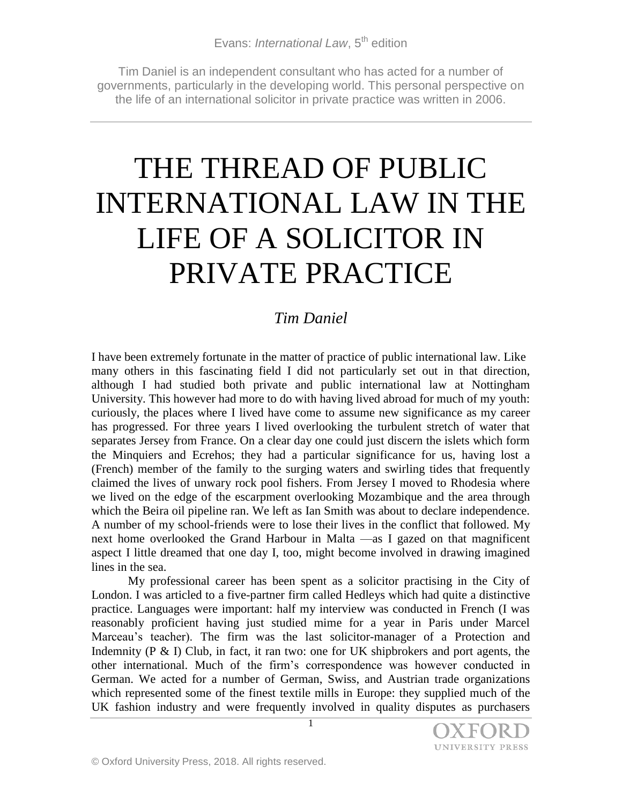Tim Daniel is an independent consultant who has acted for a number of governments, particularly in the developing world. This personal perspective on the life of an international solicitor in private practice was written in 2006.

# THE THREAD OF PUBLIC INTERNATIONAL LAW IN THE LIFE OF A SOLICITOR IN PRIVATE PRACTICE

## *Tim Daniel*

I have been extremely fortunate in the matter of practice of public international law. Like many others in this fascinating field I did not particularly set out in that direction, although I had studied both private and public international law at Nottingham University. This however had more to do with having lived abroad for much of my youth: curiously, the places where I lived have come to assume new significance as my career has progressed. For three years I lived overlooking the turbulent stretch of water that separates Jersey from France. On a clear day one could just discern the islets which form the Minquiers and Ecrehos; they had a particular significance for us, having lost a (French) member of the family to the surging waters and swirling tides that frequently claimed the lives of unwary rock pool fishers. From Jersey I moved to Rhodesia where we lived on the edge of the escarpment overlooking Mozambique and the area through which the Beira oil pipeline ran. We left as Ian Smith was about to declare independence. A number of my school-friends were to lose their lives in the conflict that followed. My next home overlooked the Grand Harbour in Malta ––as I gazed on that magnificent aspect I little dreamed that one day I, too, might become involved in drawing imagined lines in the sea.

My professional career has been spent as a solicitor practising in the City of London. I was articled to a five-partner firm called Hedleys which had quite a distinctive practice. Languages were important: half my interview was conducted in French (I was reasonably proficient having just studied mime for a year in Paris under Marcel Marceau's teacher). The firm was the last solicitor-manager of a Protection and Indemnity (P & I) Club, in fact, it ran two: one for UK shipbrokers and port agents, the other international. Much of the firm's correspondence was however conducted in German. We acted for a number of German, Swiss, and Austrian trade organizations which represented some of the finest textile mills in Europe: they supplied much of the UK fashion industry and were frequently involved in quality disputes as purchasers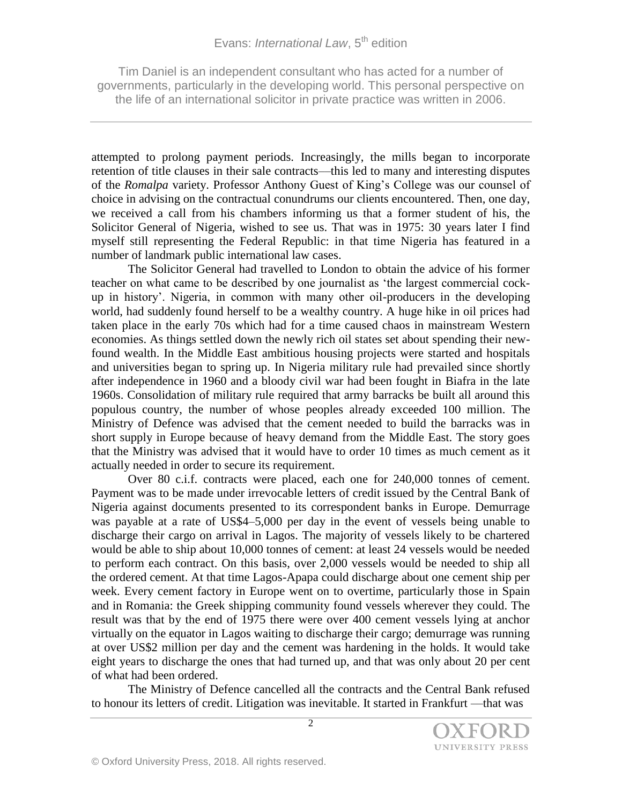Tim Daniel is an independent consultant who has acted for a number of governments, particularly in the developing world. This personal perspective on the life of an international solicitor in private practice was written in 2006.

attempted to prolong payment periods. Increasingly, the mills began to incorporate retention of title clauses in their sale contracts––this led to many and interesting disputes of the *Romalpa* variety. Professor Anthony Guest of King's College was our counsel of choice in advising on the contractual conundrums our clients encountered. Then, one day, we received a call from his chambers informing us that a former student of his, the Solicitor General of Nigeria, wished to see us. That was in 1975: 30 years later I find myself still representing the Federal Republic: in that time Nigeria has featured in a number of landmark public international law cases.

The Solicitor General had travelled to London to obtain the advice of his former teacher on what came to be described by one journalist as 'the largest commercial cockup in history'. Nigeria, in common with many other oil-producers in the developing world, had suddenly found herself to be a wealthy country. A huge hike in oil prices had taken place in the early 70s which had for a time caused chaos in mainstream Western economies. As things settled down the newly rich oil states set about spending their newfound wealth. In the Middle East ambitious housing projects were started and hospitals and universities began to spring up. In Nigeria military rule had prevailed since shortly after independence in 1960 and a bloody civil war had been fought in Biafra in the late 1960s. Consolidation of military rule required that army barracks be built all around this populous country, the number of whose peoples already exceeded 100 million. The Ministry of Defence was advised that the cement needed to build the barracks was in short supply in Europe because of heavy demand from the Middle East. The story goes that the Ministry was advised that it would have to order 10 times as much cement as it actually needed in order to secure its requirement.

Over 80 c.i.f. contracts were placed, each one for 240,000 tonnes of cement. Payment was to be made under irrevocable letters of credit issued by the Central Bank of Nigeria against documents presented to its correspondent banks in Europe. Demurrage was payable at a rate of US\$4–5,000 per day in the event of vessels being unable to discharge their cargo on arrival in Lagos. The majority of vessels likely to be chartered would be able to ship about 10,000 tonnes of cement: at least 24 vessels would be needed to perform each contract. On this basis, over 2,000 vessels would be needed to ship all the ordered cement. At that time Lagos-Apapa could discharge about one cement ship per week. Every cement factory in Europe went on to overtime, particularly those in Spain and in Romania: the Greek shipping community found vessels wherever they could. The result was that by the end of 1975 there were over 400 cement vessels lying at anchor virtually on the equator in Lagos waiting to discharge their cargo; demurrage was running at over US\$2 million per day and the cement was hardening in the holds. It would take eight years to discharge the ones that had turned up, and that was only about 20 per cent of what had been ordered.

The Ministry of Defence cancelled all the contracts and the Central Bank refused to honour its letters of credit. Litigation was inevitable. It started in Frankfurt ––that was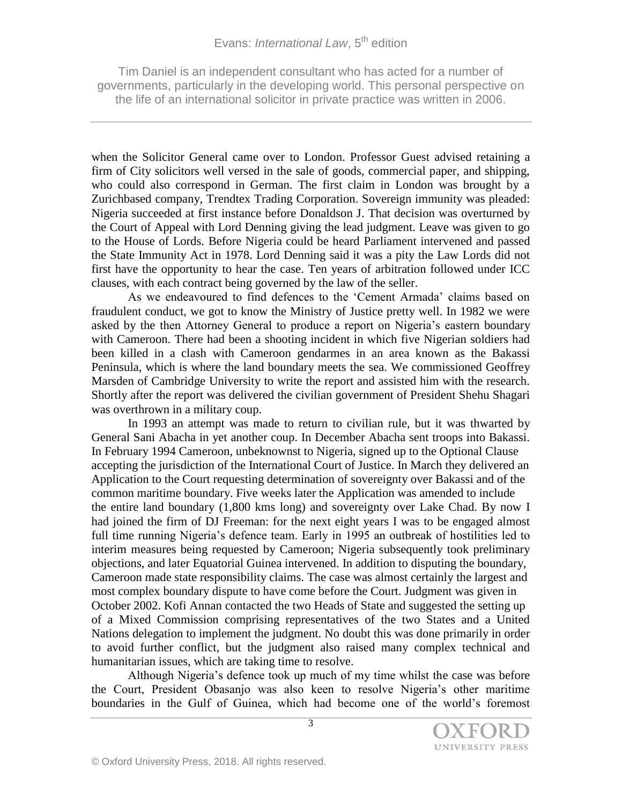Tim Daniel is an independent consultant who has acted for a number of governments, particularly in the developing world. This personal perspective on the life of an international solicitor in private practice was written in 2006.

when the Solicitor General came over to London. Professor Guest advised retaining a firm of City solicitors well versed in the sale of goods, commercial paper, and shipping, who could also correspond in German. The first claim in London was brought by a Zurichbased company, Trendtex Trading Corporation. Sovereign immunity was pleaded: Nigeria succeeded at first instance before Donaldson J. That decision was overturned by the Court of Appeal with Lord Denning giving the lead judgment. Leave was given to go to the House of Lords. Before Nigeria could be heard Parliament intervened and passed the State Immunity Act in 1978. Lord Denning said it was a pity the Law Lords did not first have the opportunity to hear the case. Ten years of arbitration followed under ICC clauses, with each contract being governed by the law of the seller.

As we endeavoured to find defences to the 'Cement Armada' claims based on fraudulent conduct, we got to know the Ministry of Justice pretty well. In 1982 we were asked by the then Attorney General to produce a report on Nigeria's eastern boundary with Cameroon. There had been a shooting incident in which five Nigerian soldiers had been killed in a clash with Cameroon gendarmes in an area known as the Bakassi Peninsula, which is where the land boundary meets the sea. We commissioned Geoffrey Marsden of Cambridge University to write the report and assisted him with the research. Shortly after the report was delivered the civilian government of President Shehu Shagari was overthrown in a military coup.

In 1993 an attempt was made to return to civilian rule, but it was thwarted by General Sani Abacha in yet another coup. In December Abacha sent troops into Bakassi. In February 1994 Cameroon, unbeknownst to Nigeria, signed up to the Optional Clause accepting the jurisdiction of the International Court of Justice. In March they delivered an Application to the Court requesting determination of sovereignty over Bakassi and of the common maritime boundary. Five weeks later the Application was amended to include the entire land boundary (1,800 kms long) and sovereignty over Lake Chad. By now I had joined the firm of DJ Freeman: for the next eight years I was to be engaged almost full time running Nigeria's defence team. Early in 1995 an outbreak of hostilities led to interim measures being requested by Cameroon; Nigeria subsequently took preliminary objections, and later Equatorial Guinea intervened. In addition to disputing the boundary, Cameroon made state responsibility claims. The case was almost certainly the largest and most complex boundary dispute to have come before the Court. Judgment was given in October 2002. Kofi Annan contacted the two Heads of State and suggested the setting up of a Mixed Commission comprising representatives of the two States and a United Nations delegation to implement the judgment. No doubt this was done primarily in order to avoid further conflict, but the judgment also raised many complex technical and humanitarian issues, which are taking time to resolve.

Although Nigeria's defence took up much of my time whilst the case was before the Court, President Obasanjo was also keen to resolve Nigeria's other maritime boundaries in the Gulf of Guinea, which had become one of the world's foremost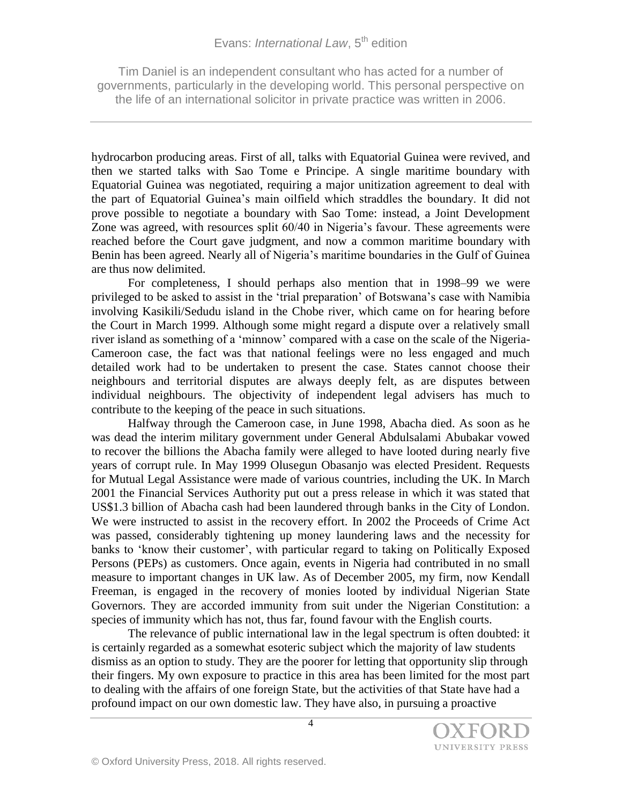Tim Daniel is an independent consultant who has acted for a number of governments, particularly in the developing world. This personal perspective on the life of an international solicitor in private practice was written in 2006.

hydrocarbon producing areas. First of all, talks with Equatorial Guinea were revived, and then we started talks with Sao Tome e Principe. A single maritime boundary with Equatorial Guinea was negotiated, requiring a major unitization agreement to deal with the part of Equatorial Guinea's main oilfield which straddles the boundary. It did not prove possible to negotiate a boundary with Sao Tome: instead, a Joint Development Zone was agreed, with resources split 60/40 in Nigeria's favour. These agreements were reached before the Court gave judgment, and now a common maritime boundary with Benin has been agreed. Nearly all of Nigeria's maritime boundaries in the Gulf of Guinea are thus now delimited.

For completeness, I should perhaps also mention that in 1998–99 we were privileged to be asked to assist in the 'trial preparation' of Botswana's case with Namibia involving Kasikili/Sedudu island in the Chobe river, which came on for hearing before the Court in March 1999. Although some might regard a dispute over a relatively small river island as something of a 'minnow' compared with a case on the scale of the Nigeria-Cameroon case, the fact was that national feelings were no less engaged and much detailed work had to be undertaken to present the case. States cannot choose their neighbours and territorial disputes are always deeply felt, as are disputes between individual neighbours. The objectivity of independent legal advisers has much to contribute to the keeping of the peace in such situations.

Halfway through the Cameroon case, in June 1998, Abacha died. As soon as he was dead the interim military government under General Abdulsalami Abubakar vowed to recover the billions the Abacha family were alleged to have looted during nearly five years of corrupt rule. In May 1999 Olusegun Obasanjo was elected President. Requests for Mutual Legal Assistance were made of various countries, including the UK. In March 2001 the Financial Services Authority put out a press release in which it was stated that US\$1.3 billion of Abacha cash had been laundered through banks in the City of London. We were instructed to assist in the recovery effort. In 2002 the Proceeds of Crime Act was passed, considerably tightening up money laundering laws and the necessity for banks to 'know their customer', with particular regard to taking on Politically Exposed Persons (PEPs) as customers. Once again, events in Nigeria had contributed in no small measure to important changes in UK law. As of December 2005, my firm, now Kendall Freeman, is engaged in the recovery of monies looted by individual Nigerian State Governors. They are accorded immunity from suit under the Nigerian Constitution: a species of immunity which has not, thus far, found favour with the English courts.

The relevance of public international law in the legal spectrum is often doubted: it is certainly regarded as a somewhat esoteric subject which the majority of law students dismiss as an option to study. They are the poorer for letting that opportunity slip through their fingers. My own exposure to practice in this area has been limited for the most part to dealing with the affairs of one foreign State, but the activities of that State have had a profound impact on our own domestic law. They have also, in pursuing a proactive